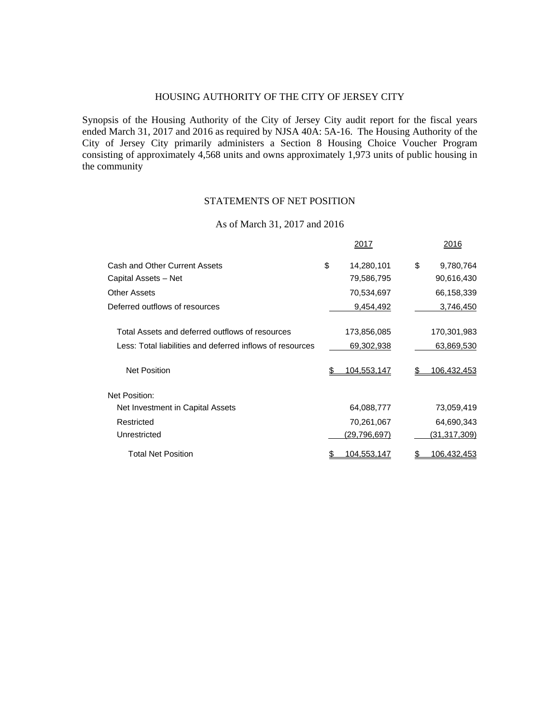# HOUSING AUTHORITY OF THE CITY OF JERSEY CITY

Synopsis of the Housing Authority of the City of Jersey City audit report for the fiscal years ended March 31, 2017 and 2016 as required by NJSA 40A: 5A-16. The Housing Authority of the City of Jersey City primarily administers a Section 8 Housing Choice Voucher Program consisting of approximately 4,568 units and owns approximately 1,973 units of public housing in the community

### STATEMENTS OF NET POSITION

### As of March 31, 2017 and 2016

|                                                           | 2017                |    | 2016               |
|-----------------------------------------------------------|---------------------|----|--------------------|
| Cash and Other Current Assets                             | \$<br>14,280,101    | \$ | 9,780,764          |
| Capital Assets - Net                                      | 79,586,795          |    | 90,616,430         |
| <b>Other Assets</b>                                       | 70,534,697          |    | 66,158,339         |
| Deferred outflows of resources                            | 9,454,492           |    | 3,746,450          |
|                                                           |                     |    |                    |
| Total Assets and deferred outflows of resources           | 173,856,085         |    | 170,301,983        |
| Less: Total liabilities and deferred inflows of resources | 69,302,938          |    | 63,869,530         |
| <b>Net Position</b>                                       | 104.553.147         | S  | 106.432.453        |
| Net Position:                                             |                     |    |                    |
| Net Investment in Capital Assets                          | 64,088,777          |    | 73,059,419         |
| Restricted                                                | 70,261,067          |    | 64,690,343         |
| Unrestricted                                              | <u>(29,796,697)</u> |    | (31,317,309)       |
| <b>Total Net Position</b>                                 | 104,553,147         |    | <u>106,432,453</u> |